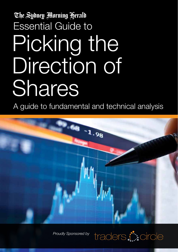# The Sydney Morning Herald Essential Guide to Picking the Direction of Shares

A guide to fundamental and technical analysis



*Proudly Sponsored by*

# traders : circle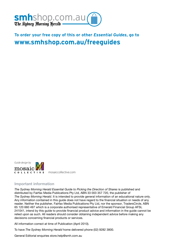

**To order your free copy of this or other** *Essential Guides***, go to www.smhshop.com.au/freeguides**



#### **Important information**

The Sydney Morning Herald Essential Guide to Picking the Direction of Shares is published and distributed by Fairfax Media Publications Pty Ltd, ABN 33 003 357 720, the publisher of The Sydney Morning Herald. It is intended to provide general information of an educational nature only. Any information contained in this guide does not have regard to the financial situation or needs of any reader. Neither the publisher, Fairfax Media Publications Pty Ltd, nor the sponsor, TradersCircle, ABN 65 120 660 497 which is a corporate authorised representative of Emerald Financial Group AFSL 241041, intend by this guide to provide financial product advice and information in the guide cannot be relied upon as such. All readers should consider obtaining independent advice before making any decisions concerning financial products or services.

All information correct at time of Publication (April 2010).

To have The Sydney Morning Herald home delivered phone (02) 9282 3800.

General Editorial enquiries store.help@smh.com.au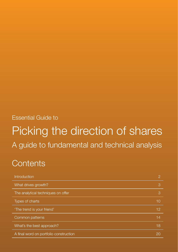# Essential Guide to

# Picking the direction of shares A guide to fundamental and technical analysis

# **Contents**

| <b>Introduction</b>                    | Ι2' |
|----------------------------------------|-----|
| What drives growth?                    | 3   |
| The analytical techniques on offer     | 3   |
| Types of charts                        | 10  |
| 'The trend is your friend'             | 12  |
| Common patterns                        | 14  |
| What's the best approach?              | 18  |
| A final word on portfolio construction | 20  |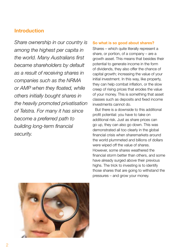## **Introduction**

*Share ownership in our country is among the highest per capita in the world. Many Australians first became shareholders by default as a result of receiving shares in companies such as the NRMA or AMP when they floated, while others initially bought shares in the heavily promoted privatisation of Telstra. For many it has since become a preferred path to building long-term financial security.*

#### **So what is so good about shares?**

Shares – which quite literally represent a share, or portion, of a company – are a growth asset. This means that besides their potential to generate income in the form of dividends, they also offer the chance of capital growth; increasing the value of your initial investment. In this way, like property, they can help combat inflation, or the slow creep of rising prices that erodes the value of your money. This is something that asset classes such as deposits and fixed income investments cannot do.

But there is a downside to this additional profit potential: you have to take on additional risk. Just as share prices can go up, they can also go down. This was demonstrated all too clearly in the global financial crisis when sharemarkets around the world plummeted and billions of dollars were wiped off the value of shares. However, some shares weathered the financial storm better than others, and some have already surged above their previous highs. The trick to investing is to identify those shares that are going to withstand the pressures – and grow your money.

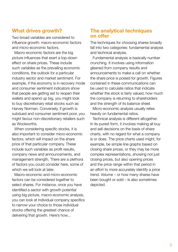#### **What drives growth?**

Two broad variables are considered to influence growth: macro-economic factors and micro-economic factors.

Macro-economic factors are the big picture influences that exert a top-down effect on share prices. These include such variables as the prevailing economic conditions, the outlook for a particular industry sector and market sentiment. For example, if the economy is in recovery mode and consumer sentiment indicators show that people are getting set to reopen their wallets and spend up big, you might look to buy discretionary retail stocks such as Harvey Norman. Conversely, if growth is subdued and consumer sentiment poor, you might favour non-discretionary retailers such as Woolworths.

When considering specific stocks, it is also important to consider micro-economic factors, which will impact on the share price of that particular company. These include such variables as profit results, company news and announcements, and management strength. There are a plethora of factors you could consider here, some of which we will look at later.

Macro-economic and micro-economic factors can be considered together to select shares. For instance, once you have identified a sector with growth potential using big picture, macro-economic analysis, you can look at individual company specifics to narrow your choice to those individual stocks offering the greatest chance of delivering that growth. Here's how...

#### **The analytical techniques on offer**

The techniques for choosing shares broadly fall into two categories: fundamental analysis and technical analysis.

Fundamental analysis is basically number crunching. It involves using information gleaned from company results and announcements to make a call on whether the share price is poised for growth. Figures contained in these communications can be used to calculate ratios that indicate whether the stock is fairly valued, how much the company is returning to shareholders and the strength of its balance sheet.

Micro-economic analysis usually relies heavily on fundamental ratios.

Technical analysis is different altogether. In its purest form, it involves making all buy and sell decisions on the basis of share charts, with no regard for what a company is or does. The price charts used might, for example, be simple line graphs based on closing share prices, or they may be more complex representations, showing not just closing prices, but also opening prices and the price range within that period in an effort to more accurately identify a price trend. Volume – or how many shares have been bought or sold – is also sometimes depicted.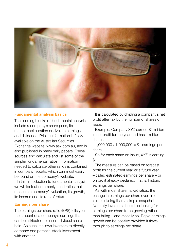

#### **Fundamental analysis basics**

The building blocks of fundamental analysis include a company's share price, its market capitalisation or size, its earnings and dividends. Pricing information is freely available on the Australian Securities Exchange website, www.asx.com.au, and is also published in many daily papers. These sources also calculate and list some of the simpler fundamental ratios. Information needed to calculate other ratios is contained in company reports, which can most easily be found on the company's website.

In this introduction to fundamental analysis, we will look at commonly used ratios that measure a company's valuation, its growth, its income and its rate of return.

#### **Earnings per share**

The earnings per share ratio (EPS) tells you the amount of a company's earnings that can be attributed to each individual share held. As such, it allows investors to directly compare one potential stock investment with another.

It is calculated by dividing a company's net profit after tax by the number of shares on issue.

Example: Company XYZ earned \$1 million in net profit for the year and has 1 million shares.

1,000,000 / 1,000,000 = \$1 earnings per share

So for each share on issue, XYZ is earning  $$1$ .

The measure can be based on forecast profit for the current year or a future year – called estimated earnings per share – or on profit already declared, that is, historic earnings per share.

As with most sharemarket ratios, the change in earnings per share over time is more telling than a simple snapshot. Naturally investors should be looking for earnings per share to be growing rather than falling – and steadily so. Rapid earnings growth can be positive provided it flows through to earnings per share.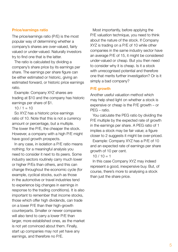#### **Price/earnings ratio**

The price/earnings ratio (P/E) is the most popular way of determining whether a company's shares are over-valued, fairly valued or under-valued. Naturally investors try to find one that is the latter.

The ratio is calculated by dividing a company's share price by its earnings per share. The earnings per share figure can be either estimated or historic, giving an estimated forward, or historic price earnings ratio.

Example: Company XYZ shares are trading at \$10 and the company has historic earnings per share of \$1.

 $10/1 = 10$ 

So XYZ has a historic price earnings ratio of 10. Note that this is not a currency amount or percentage, but a multiple. The lower the P/E, the cheaper the stock. However, a company with a high P/E might have good growth prospects.

In any case, in isolation a P/E ratio means nothing; for a meaningful analysis you need to consider it next to its peers. Some industry sectors routinely carry much lower or higher P/Es than others, and this can change throughout the economic cycle (for example, cyclical stocks, such as those in the automotive or travel industries tend to experience big changes in earnings in response to the trading conditions). It is also important to remember that income stocks, those which offer high dividends, can trade on a lower P/E than their high-growth counterparts. Smaller or newer companies will also tend to carry a lower P/E than larger, more established ones, as the market is not yet convinced about them. Finally, start up companies may not yet have any earnings, and therefore no P/E.

Most importantly, before applying the P/E valuation technique, you need to think about the nature of the stock. If Company XYZ is trading on a P/E of 10 while other companies in the same industry sector have an average P/E of 15, it might be considered under-valued or cheap. But you then need to consider why it is cheap. Is it a stock with unrecognised potential and therefore one that merits further investigation? Or is it simply a bad company?

#### **P/E growth**

Another useful valuation method which may help shed light on whether a stock is expensive or cheap is the P/E growth – or PEG – ratio.

You calculate the PEG ratio by dividing the P/E multiple by the expected rate of growth in the earnings per share. A PEG ratio of 1 implies a stock may be fair value; a figure closer to 2 suggests it might be over-priced.

Example: Company XYZ has a P/E of 10 and an expected rate of earnings per share growth of 10 per cent.

 $10 / 10 = 1$ 

In this case Company XYZ may indeed represent a good, inexpensive buy. But, of course, there's more to analysing a stock than just the share price.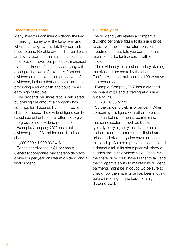#### **Dividend per share**

Many investors consider dividends the key to making money over the long-term and, where capital growth is flat, they certainly buoy returns. Reliable dividends – paid each and every year and maintained at least at their previous level, but preferably increased – are a hallmark of a healthy company with good profit growth. Conversely, frequent dividend cuts, or even the suspension of dividends, indicate that an operation is not producing enough cash and could be an early sign of trouble.

The dividend per share ratio is calculated by dividing the amount a company has set aside for dividends by the number of shares on issue. The dividend figure can be calculated either before or after tax to give the gross or net dividend per share.

Example: Company XYZ has a net dividend pool of \$1 million and 1 million shares.

 $1,000,000 / 1,000,000 = $1$ 

So the net dividend is \$1 per share. Generally companies pay shareholders two dividends per year, an interim dividend and a final dividend.

#### **Dividend yield**

The dividend yield relates a company's dividend per share figure to its share price, to give you the income return on your investment. It also lets you compare that return, on a like for like basis, with other stocks.

The dividend yield is calculated by dividing the dividend per share by the share price. The figure is then multiplied by 100 to arrive at a percentage.

Example: Company XYZ has a dividend per share of \$1 and is trading at a share price of \$20.

 $1/20 = 0.05$  or 5%

So the dividend yield is 5 per cent. When comparing this figure with other potential sharemarket investments, bear in mind that some sectors – such as banks – typically carry higher yields than others. It is also important to remember that share prices and dividend yields have an inverse relationship. So a company that has suffered a dramatic fall in its share price will show a sudden rise in its dividend yield. Of course, the share price could have further to fall, and the company's ability to maintain its dividend payments might be in doubt. So be sure to check how the share price has been moving before investing on the basis of a high dividend yield.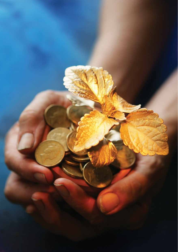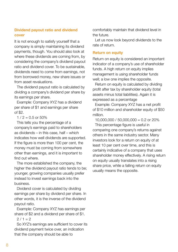#### **Dividend payout ratio and dividend cover**

It is not enough to satisfy yourself that a company is simply maintaining its dividend payments, though. You should also look at where these dividends are coming from, by considering the company's dividend payout ratio and dividend cover. To be sustainable, dividends need to come from earnings, not from borrowed money, new share issues or from asset revaluations.

The dividend payout ratio is calculated by dividing a company's dividend per share by its earnings per share.

Example: Company XYZ has a dividend per share of \$1 and earnings per share of \$2.

 $1/2 = 0.5$  or 50%

This tells you the percentage of a company's earnings paid to shareholders as dividends – in this case, half – which indicates how well dividends are supported. If the figure is more than 100 per cent, the money must be coming from somewhere other than earnings, and it is important to find out where.

The more established the company, the higher the dividend payout ratio tends to be; younger, growing companies usually prefer instead to invest earnings back into the business.

Dividend cover is calculated by dividing earnings per share by dividend per share. In other words, it is the inverse of the dividend payout ratio.

Example: Company XYZ has earnings per share of \$2 and a dividend per share of \$1.  $2/1 = 2$ 

So XYZ's earnings are sufficient to cover its dividend payment twice over, an indication that the company should be able to

comfortably maintain that dividend level in the future.

Let us now look beyond dividends to the rate of return.

#### **Return on equity**

Return on equity is considered an important indicator of a company's use of shareholder funds. A high return on equity implies management is using shareholder funds well; a low one implies the opposite.

Return on equity is calculated by dividing profit after tax by shareholder equity (total assets minus total liabilities). Again it is expressed as a percentage

Example: Company XYZ has a net profit of \$10 million and shareholder equity of \$50 million.

 $10,000,000 / 50,000,000 = 0.2$  or 20% This percentage figure is useful in comparing one company's returns against others in the same industry sector. Many investors look for a return on equity of at least 10 per cent over time, and this is certainly indicative of a company that uses shareholder money effectively. A rising return on equity usually translates into a rising share price, while a falling return on equity usually means the opposite.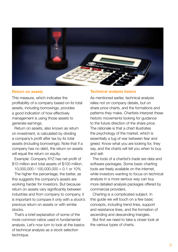

#### **Return on assets**

This measure, which indicates the profitability of a company based on its total assets, including borrowings, provides a good indication of how effectively management is using those assets to generate earnings.

Return on assets, also known as return on investment, is calculated by dividing a company's profit after tax by its total assets (including borrowings). Note that if a company has no debt, the return on assets will equal the return on equity.

Example: Company XYZ has net profit of \$10 million and total assets of \$100 million.

 $10,000,000 / 100,000,000 = 0.1$  or  $10\%$ The higher the percentage, the better, as this suggests the company's assets are working harder for investors. But because return on assets vary significantly between industries and from company to company, it is important to compare it only with a stock's previous return on assets or with similar stocks.

That's a brief explanation of some of the more common ratios used in fundamental analysis. Let's now turn to look at the basics of technical analysis as a stock selection technique.

#### **Technical analysis basics**

As mentioned earlier, technical analysis relies not on company details, but on share price charts, and the formations and patterns they make. Chartists interpret these historic movements looking for guidance to the future direction of the share price. The rationale is that a chart illustrates the psychology of the market, which is essentially a tug of war between fear and greed. Know what you are looking for, they say, and the charts will tell you when to buy and sell.

The tools of a chartist's trade are data and software packages. Some basic charting tools are freely available on the internet, while investors wanting to focus on technical analysis in a more serious way can buy more detailed analysis packages offered by commercial providers.

Charting is a complicated subject. In this guide we will touch on a few basic concepts, including trend lines, support and resistance lines, and the formation of ascending and descending triangles.

But first we need to take a closer look at the various types of charts.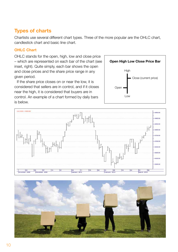# **Types of charts**

Chartists use several different chart types. Three of the more popular are the OHLC chart, candlestick chart and basic line chart.

#### **OHLC Chart**

OHLC stands for the open, high, low and close price – which are represented on each bar of the chart (see inset, right). Quite simply, each bar shows the open and close prices and the share price range in any given period.

If the share price closes on or near the low, it is considered that sellers are in control, and if it closes near the high, it is considered that buyers are in control. An example of a chart formed by daily bars is below.





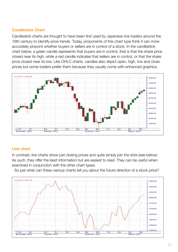#### **Candlestick Chart**

Candlestick charts are thought to have been first used by Japanese rice traders around the 16th century to identify price trends. Today, proponents of this chart type think it can more accurately pinpoint whether buyers or sellers are in control of a stock. In the candlestick chart below, a green candle represents that buyers are in control, that is that the share price closed near its high, while a red candle indicates that sellers are in control, or that the share price closed near its low. Like OHLC charts, candles also depict open, high, low and close prices but some traders prefer them because they usually come with enhanced graphics.



#### **Line chart**

In contrast, line charts show just closing prices and quite simply join the dots (see below). As such, they offer the least information but are easiest to read. They can be useful when examined in conjunction with the other chart types.

So just what can these various charts tell you about the future direction of a stock price?

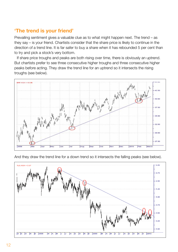### **'The trend is your friend'**

Prevailing sentiment gives a valuable clue as to what might happen next. The trend – as they say – is your friend. Chartists consider that the share price is likely to continue in the direction of a trend line. It is far safer to buy a share when it has rebounded 5 per cent than to try and pick a stock's very bottom.

If share price troughs and peaks are both rising over time, there is obviously an uptrend. But chartists prefer to see three consecutive higher troughs and three consecutive higher peaks before acting. They draw the trend line for an uptrend so it intersects the rising troughs (see below).



And they draw the trend line for a down trend so it intersects the falling peaks (see below).

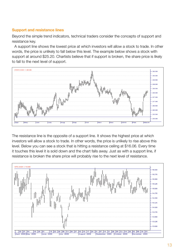#### **Support and resistance lines**

Beyond the simple trend indicators, technical traders consider the concepts of support and resistance key.

A support line shows the lowest price at which investors will allow a stock to trade. In other words, the price is unlikely to fall below this level. The example below shows a stock with support at around \$25.20. Chartists believe that if support is broken, the share price is likely to fall to the next level of support.



The resistance line is the opposite of a support line. It shows the highest price at which investors will allow a stock to trade. In other words, the price is unlikely to rise above this level. Below you can see a stock that is hitting a resistance ceiling at \$16.06. Every time it touches this level it is sold down and the chart falls away. Just as with a support line, if resistance is broken the share price will probably rise to the next level of resistance.

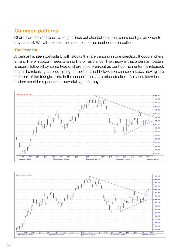# **Common patterns**

Charts can be used to draw not just lines but also patterns that can shed light on when to buy and sell. We will next examine a couple of the most common patterns.

#### **The Pennant**

A pennant is seen particularly with stocks that are trending in one direction. It occurs where a rising line of support meets a falling line of resistance. The theory is that a pennant pattern is usually followed by some type of share price breakout as pent up momentum is released, much like releasing a coiled spring. In the first chart below, you can see a stock moving into the apex of the triangle – and in the second, the share price breakout. As such, technical traders consider a pennant a powerful signal to buy.



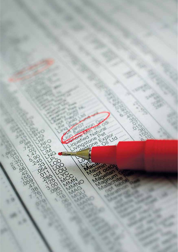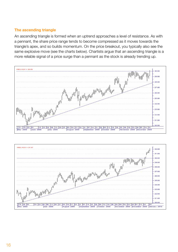#### **The ascending triangle**

An ascending triangle is formed when an uptrend approaches a level of resistance. As with a pennant, the share price range tends to become compressed as it moves towards the triangle's apex, and so builds momentum. On the price breakout, you typically also see the same explosive move (see the charts below). Chartists argue that an ascending triangle is a more reliable signal of a price surge than a pennant as the stock is already trending up.



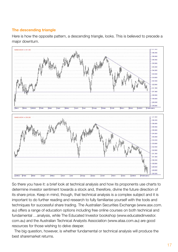#### **The descending triangle**

Here is how the opposite pattern, a descending triangle, looks. This is believed to precede a major downturn.



So there you have it: a brief look at technical analysis and how its proponents use charts to determine investor sentiment towards a stock and, therefore, divine the future direction of its share price. Keep in mind, though, that technical analysis is a complex subject and it is important to do further reading and research to fully familiarise yourself with the tools and techniques for successful share trading. The Australian Securities Exchange (www.asx.com. au) offers a range of education options including free online courses on both technical and fundamental …analysis, while The Educated Investor bookshop (www.educatedinvestor. com.au) and the Australian Technical Analysts Association (www.ataa.com.au) are good resources for those wishing to delve deeper.

The big question, however, is whether fundamental or technical analysis will produce the best sharemarket returns.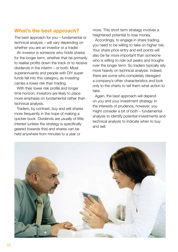### **What's the best approach?**

The best approach for you – fundamental or technical analysis – will vary depending on whether you are an investor or a trader.

An investor is someone who holds shares for the longer term, whether that be primarily to realise profits down the track or to receive dividends in the interim – or both. Most superannuants and people with DIY super funds fall into this category, as investing carries a lower risk than trading.

With their lower risk profile and longer time horizon, investors are likely to place more emphasis on fundamental rather than technical analysis.

Traders, by contrast, buy and sell shares more frequently in the hope of making a quicker buck. Dividends are usually of little interest (unless the strategy is specifically geared towards this) and shares can be held anywhere from minutes to a year or

more. This short term strategy involves a heightened potential to lose money.

Accordingly, to engage in share trading, you need to be willing to take on higher risk. Your share price entry and exit points will also be far more important than someone who is willing to ride out peaks and troughs over the longer term. So traders typically rely more heavily on technical analysis. Indeed, there are some who completely disregard a company's other characteristics and look only to the charts to tell them what action to take.

Again, the best approach will depend on you and your investment strategy. In the interests of prudence, however, you might consider a bit of both – fundamental analysis to identify potential investments and technical analysis to indicate when to buy and sell.

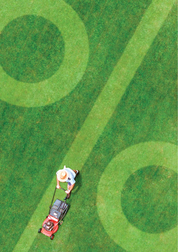